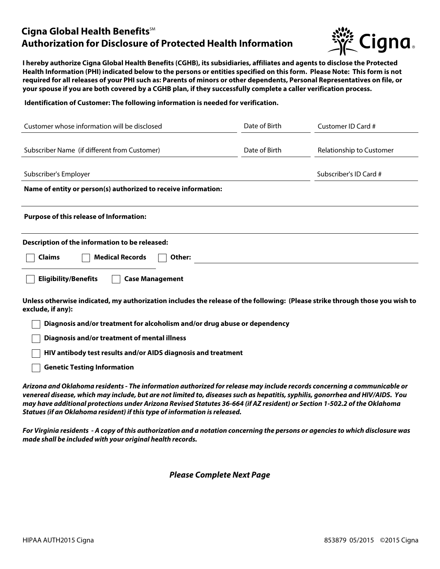## **Cigna Global Health Benefits**<sup>SM</sup> **Authorization for Disclosure of Protected Health Information**



**I hereby authorize Cigna Global Health Benefits (CGHB), its subsidiaries, affiliates and agents to disclose the Protected Health Information (PHI) indicated below to the persons or entities specified on this form. Please Note: This form is not required for all releases of your PHI such as: Parents of minors or other dependents, Personal Representatives on file, or your spouse if you are both covered by a CGHB plan, if they successfully complete a caller verification process.**

**Identification of Customer: The following information is needed for verification.**

| Customer whose information will be disclosed                                                                                                      | Date of Birth | Customer ID Card #       |
|---------------------------------------------------------------------------------------------------------------------------------------------------|---------------|--------------------------|
| Subscriber Name (if different from Customer)                                                                                                      | Date of Birth | Relationship to Customer |
| Subscriber's Employer                                                                                                                             |               | Subscriber's ID Card #   |
| Name of entity or person(s) authorized to receive information:                                                                                    |               |                          |
| <b>Purpose of this release of Information:</b>                                                                                                    |               |                          |
| Description of the information to be released:<br><b>Medical Records</b><br><b>Claims</b><br>Other:                                               |               |                          |
| <b>Eligibility/Benefits</b><br><b>Case Management</b>                                                                                             |               |                          |
| Unless otherwise indicated, my authorization includes the release of the following: (Please strike through those you wish to<br>exclude, if any): |               |                          |
| Diagnosis and/or treatment for alcoholism and/or drug abuse or dependency                                                                         |               |                          |
| Diagnosis and/or treatment of mental illness                                                                                                      |               |                          |
| HIV antibody test results and/or AIDS diagnosis and treatment                                                                                     |               |                          |
| <b>Genetic Testing Information</b>                                                                                                                |               |                          |

*Arizona and Oklahoma residents - The information authorized for release may include records concerning a communicable or venereal disease, which may include, but are not limited to, diseases such as hepatitis, syphilis, gonorrhea and HIV/AIDS. You may have additional protections under Arizona Revised Statutes 36-664 (if AZ resident) or Section 1-502.2 of the Oklahoma Statues (if an Oklahoma resident) if this type of information is released.*

*For Virginia residents - A copy of this authorization and a notation concerning the persons or agencies to which disclosure was made shall be included with your original health records.* 

*Please Complete Next Page*